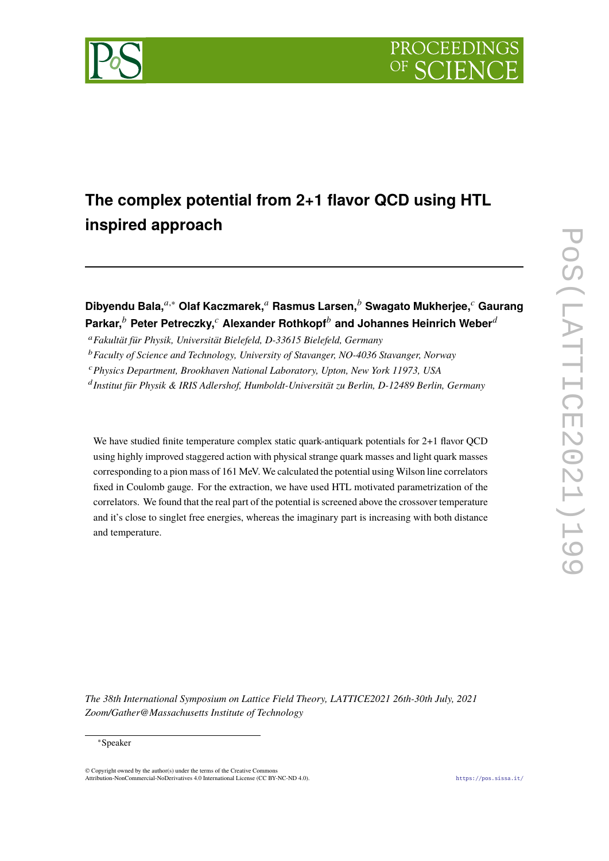



# **The complex potential from 2+1 flavor QCD using HTL inspired approach**

## **Dibyendu Bala,**𝑎,<sup>∗</sup> **Olaf Kaczmarek,**<sup>𝑎</sup> **Rasmus Larsen,**<sup>𝑏</sup> **Swagato Mukherjee,**<sup>𝑐</sup> **Gaurang Parkar,**<sup>b</sup> Peter Petreczky,<sup>c</sup> Alexander Rothkopf<sup>b</sup> and Johannes Heinrich Weber<sup>d</sup>

<sup>𝑎</sup>*Fakultät für Physik, Universität Bielefeld, D-33615 Bielefeld, Germany*

<sup>b</sup> Faculty of Science and Technology, University of Stavanger, NO-4036 Stavanger, Norway

<sup>𝑐</sup>*Physics Department, Brookhaven National Laboratory, Upton, New York 11973, USA*

<sup>d</sup> Institut für Physik & IRIS Adlershof, Humboldt-Universität zu Berlin, D-12489 Berlin, Germany

We have studied finite temperature complex static quark-antiquark potentials for 2+1 flavor QCD using highly improved staggered action with physical strange quark masses and light quark masses corresponding to a pion mass of 161 MeV. We calculated the potential using Wilson line correlators fixed in Coulomb gauge. For the extraction, we have used HTL motivated parametrization of the correlators. We found that the real part of the potential is screened above the crossover temperature and it's close to singlet free energies, whereas the imaginary part is increasing with both distance and temperature.

*The 38th International Symposium on Lattice Field Theory, LATTICE2021 26th-30th July, 2021 Zoom/Gather@Massachusetts Institute of Technology*

#### <sup>∗</sup>Speaker

 $\odot$  Copyright owned by the author(s) under the terms of the Creative Common Attribution-NonCommercial-NoDerivatives 4.0 International License (CC BY-NC-ND 4.0). <https://pos.sissa.it/>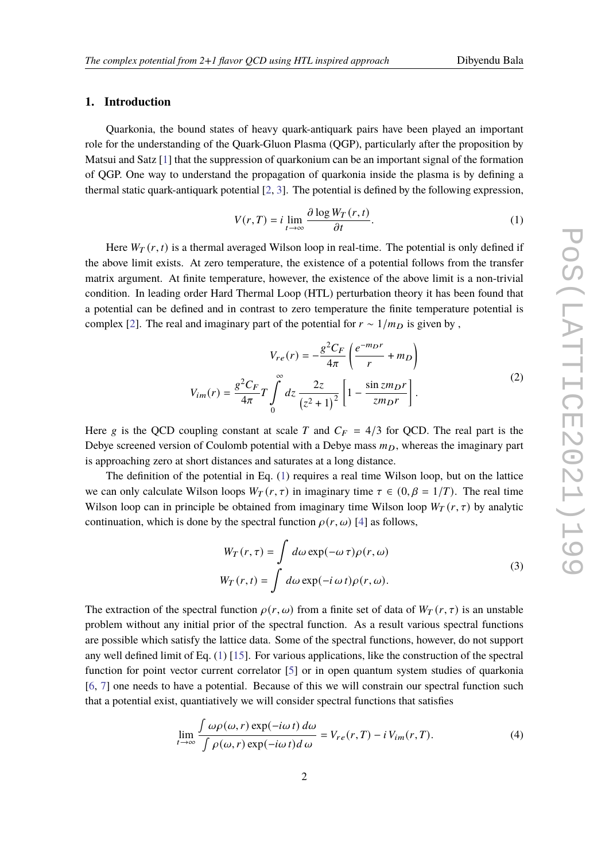### **1. Introduction**

Quarkonia, the bound states of heavy quark-antiquark pairs have been played an important role for the understanding of the Quark-Gluon Plasma (QGP), particularly after the proposition by Matsui and Satz [\[1\]](#page-7-0) that the suppression of quarkonium can be an important signal of the formation of QGP. One way to understand the propagation of quarkonia inside the plasma is by defining a thermal static quark-antiquark potential [\[2,](#page-7-1) [3\]](#page-7-2). The potential is defined by the following expression,

<span id="page-1-0"></span>
$$
V(r,T) = i \lim_{t \to \infty} \frac{\partial \log W_T(r,t)}{\partial t}.
$$
 (1)

Here  $W_T(r, t)$  is a thermal averaged Wilson loop in real-time. The potential is only defined if the above limit exists. At zero temperature, the existence of a potential follows from the transfer matrix argument. At finite temperature, however, the existence of the above limit is a non-trivial condition. In leading order Hard Thermal Loop (HTL) perturbation theory it has been found that a potential can be defined and in contrast to zero temperature the finite temperature potential is complex [\[2\]](#page-7-1). The real and imaginary part of the potential for  $r \sim 1/m_D$  is given by,

$$
V_{re}(r) = -\frac{g^2 C_F}{4\pi} \left( \frac{e^{-m_D r}}{r} + m_D \right)
$$
  

$$
V_{im}(r) = \frac{g^2 C_F}{4\pi} T \int_0^{\infty} dz \frac{2z}{(z^2 + 1)^2} \left[ 1 - \frac{\sin z m_D r}{z m_D r} \right].
$$
 (2)

<span id="page-1-1"></span>Here g is the QCD coupling constant at scale T and  $C_F = 4/3$  for QCD. The real part is the Debye screened version of Coulomb potential with a Debye mass  $m<sub>D</sub>$ , whereas the imaginary part is approaching zero at short distances and saturates at a long distance.

The definition of the potential in Eq. [\(1\)](#page-1-0) requires a real time Wilson loop, but on the lattice we can only calculate Wilson loops  $W_T(r, \tau)$  in imaginary time  $\tau \in (0, \beta = 1/T)$ . The real time Wilson loop can in principle be obtained from imaginary time Wilson loop  $W_T(r, \tau)$  by analytic continuation, which is done by the spectral function  $\rho(r, \omega)$  [\[4\]](#page-7-3) as follows,

$$
W_T(r,\tau) = \int d\omega \exp(-\omega \tau) \rho(r,\omega)
$$
  
\n
$$
W_T(r,t) = \int d\omega \exp(-i \omega t) \rho(r,\omega).
$$
\n(3)

<span id="page-1-3"></span>The extraction of the spectral function  $\rho(r, \omega)$  from a finite set of data of  $W_T(r, \tau)$  is an unstable problem without any initial prior of the spectral function. As a result various spectral functions are possible which satisfy the lattice data. Some of the spectral functions, however, do not support any well defined limit of Eq. [\(1\)](#page-1-0) [\[15\]](#page-8-0). For various applications, like the construction of the spectral function for point vector current correlator [\[5\]](#page-7-4) or in open quantum system studies of quarkonia [\[6,](#page-7-5) [7\]](#page-7-6) one needs to have a potential. Because of this we will constrain our spectral function such that a potential exist, quantiatively we will consider spectral functions that satisfies

<span id="page-1-2"></span>
$$
\lim_{t \to \infty} \frac{\int \omega \rho(\omega, r) \exp(-i\omega t) d\omega}{\int \rho(\omega, r) \exp(-i\omega t) d\omega} = V_{re}(r, T) - i V_{im}(r, T). \tag{4}
$$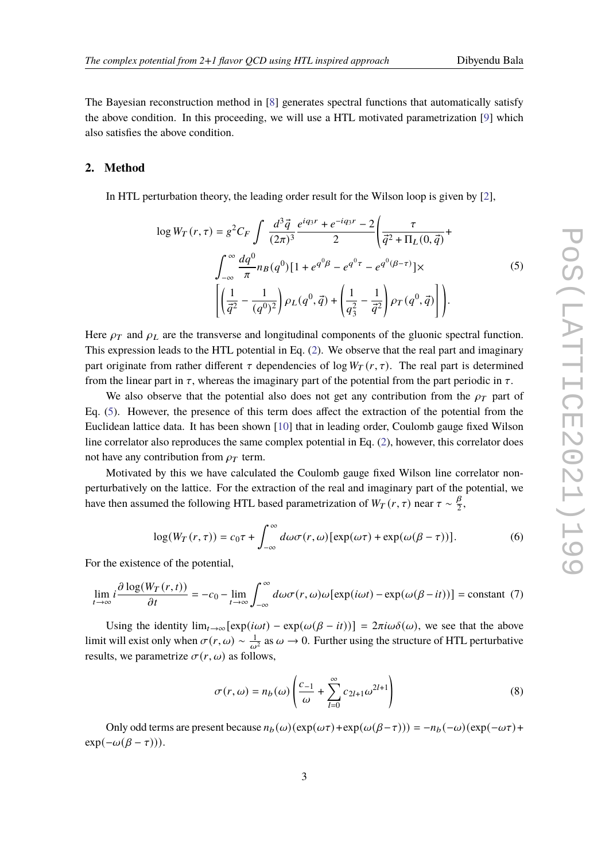The Bayesian reconstruction method in [\[8\]](#page-7-7) generates spectral functions that automatically satisfy the above condition. In this proceeding, we will use a HTL motivated parametrization  $[9]$  which also satisfies the above condition.

#### **2. Method**

<span id="page-2-0"></span>In HTL perturbation theory, the leading order result for the Wilson loop is given by [\[2\]](#page-7-1),

$$
\log W_T(r,\tau) = g^2 C_F \int \frac{d^3 \vec{q}}{(2\pi)^3} \frac{e^{iq_3 r} + e^{-iq_3 r} - 2}{2} \left( \frac{\tau}{\vec{q}^2 + \Pi_L(0,\vec{q})} + \int_{-\infty}^{\infty} \frac{dq^0}{\pi} n_B(q^0) [1 + e^{q^0 \beta} - e^{q^0 \tau} - e^{q^0 (\beta - \tau)}] \times \left[ \left( \frac{1}{\vec{q}^2} - \frac{1}{(q^0)^2} \right) \rho_L(q^0, \vec{q}) + \left( \frac{1}{q_3^2} - \frac{1}{\vec{q}^2} \right) \rho_T(q^0, \vec{q}) \right] \right].
$$
\n(5)

Here  $\rho_T$  and  $\rho_L$  are the transverse and longitudinal components of the gluonic spectral function. This expression leads to the HTL potential in Eq. [\(2\)](#page-1-1). We observe that the real part and imaginary part originate from rather different  $\tau$  dependencies of log  $W_T(r, \tau)$ . The real part is determined from the linear part in  $\tau$ , whereas the imaginary part of the potential from the part periodic in  $\tau$ .

We also observe that the potential also does not get any contribution from the  $\rho_T$  part of Eq. [\(5\)](#page-2-0). However, the presence of this term does affect the extraction of the potential from the Euclidean lattice data. It has been shown [\[10\]](#page-7-9) that in leading order, Coulomb gauge fixed Wilson line correlator also reproduces the same complex potential in Eq. [\(2\)](#page-1-1), however, this correlator does not have any contribution from  $\rho_T$  term.

Motivated by this we have calculated the Coulomb gauge fixed Wilson line correlator nonperturbatively on the lattice. For the extraction of the real and imaginary part of the potential, we have then assumed the following HTL based parametrization of  $W_T(r, \tau)$  near  $\tau \sim \frac{\beta}{2}$  $\frac{p}{2}$ 

$$
\log(W_T(r,\tau)) = c_0 \tau + \int_{-\infty}^{\infty} d\omega \sigma(r,\omega) [\exp(\omega \tau) + \exp(\omega(\beta - \tau))]. \tag{6}
$$

For the existence of the potential,

$$
\lim_{t \to \infty} i \frac{\partial \log(W_T(r, t))}{\partial t} = -c_0 - \lim_{t \to \infty} \int_{-\infty}^{\infty} d\omega \sigma(r, \omega) \omega[\exp(i\omega t) - \exp(\omega(\beta - it))] = \text{constant} \tag{7}
$$

Using the identity  $\lim_{t\to\infty} [\exp(i\omega t) - \exp(i(\omega(\beta - it))] = 2\pi i \omega \delta(\omega)$ , we see that the above limit will exist only when  $\sigma(r,\omega) \sim \frac{1}{\omega^2}$  as  $\omega \to 0$ . Further using the structure of HTL perturbative results, we parametrize  $\sigma(r, \omega)$  as follows,

$$
\sigma(r,\omega) = n_b(\omega) \left( \frac{c_{-1}}{\omega} + \sum_{l=0}^{\infty} c_{2l+1} \omega^{2l+1} \right)
$$
 (8)

Only odd terms are present because  $n_b(\omega)(\exp(\omega \tau) + \exp(\omega(\beta - \tau))) = -n_b(-\omega)(\exp(-\omega \tau) +$  $exp(-\omega(\beta - \tau))).$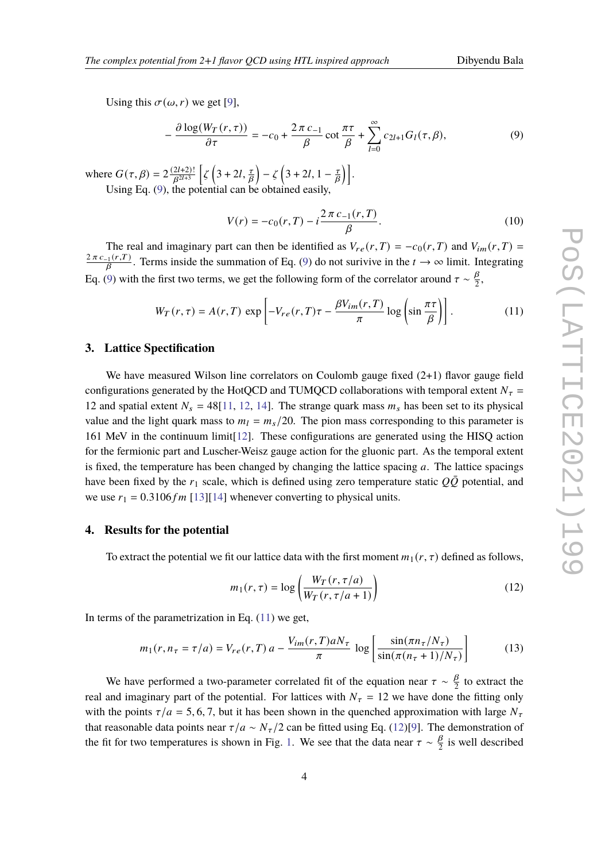Using this  $\sigma(\omega, r)$  we get [\[9\]](#page-7-8),

<span id="page-3-0"></span>
$$
-\frac{\partial \log(W_T(r,\tau))}{\partial \tau} = -c_0 + \frac{2\pi c_{-1}}{\beta} \cot \frac{\pi \tau}{\beta} + \sum_{l=0}^{\infty} c_{2l+1} G_l(\tau,\beta),\tag{9}
$$

where  $G(\tau, \beta) = 2 \frac{(2l+2)!}{\beta^{2l+3}}$  $\frac{2l+2)!}{\beta^{2l+3}}$   $\left[\zeta\left(3+2l,\frac{\tau}{\beta}\right)-\zeta\left(3+2l,1-\frac{\tau}{\beta}\right)\right]$  $\frac{\tau}{B}$ ). Using Eq. [\(9\)](#page-3-0), the potential can be obtained easily,

$$
V(r) = -c_0(r, T) - i \frac{2\pi c_{-1}(r, T)}{\beta}.
$$
\n(10)

The real and imaginary part can then be identified as  $V_{re}(r,T) = -c_0(r,T)$  and  $V_{im}(r,T) =$  $\frac{2\pi c_{-1}(r,T)}{B}$ . Terms inside the summation of Eq. [\(9\)](#page-3-0) do not surivive in the  $t \to \infty$  limit. Integrating Eq. [\(9\)](#page-3-0) with the first two terms, we get the following form of the correlator around  $\tau \sim \frac{\beta}{2}$  $\frac{p}{2}$ 

<span id="page-3-1"></span>
$$
W_T(r,\tau) = A(r,T) \exp\left[-V_{re}(r,T)\tau - \frac{\beta V_{im}(r,T)}{\pi} \log\left(\sin\frac{\pi\tau}{\beta}\right)\right].
$$
 (11)

#### **3. Lattice Spectification**

We have measured Wilson line correlators on Coulomb gauge fixed  $(2+1)$  flavor gauge field configurations generated by the HotQCD and TUMQCD collaborations with temporal extent  $N_{\tau}$  = 12 and spatial extent  $N_s = 48[11, 12, 14]$  $N_s = 48[11, 12, 14]$  $N_s = 48[11, 12, 14]$  $N_s = 48[11, 12, 14]$  $N_s = 48[11, 12, 14]$  $N_s = 48[11, 12, 14]$ . The strange quark mass  $m_s$  has been set to its physical value and the light quark mass to  $m_l = m_s/20$ . The pion mass corresponding to this parameter is 161 MeV in the continuum limit[\[12\]](#page-7-11). These configurations are generated using the HISQ action for the fermionic part and Luscher-Weisz gauge action for the gluonic part. As the temporal extent is fixed, the temperature has been changed by changing the lattice spacing  $a$ . The lattice spacings have been fixed by the  $r_1$  scale, which is defined using zero temperature static  $Q\overline{Q}$  potential, and we use  $r_1 = 0.3106 fm$  [\[13\]](#page-8-2)[\[14\]](#page-8-1) whenever converting to physical units.

#### **4. Results for the potential**

To extract the potential we fit our lattice data with the first moment  $m_1(r, \tau)$  defined as follows,

<span id="page-3-2"></span>
$$
m_1(r,\tau) = \log\left(\frac{W_T(r,\tau/a)}{W_T(r,\tau/a+1)}\right)
$$
\n(12)

In terms of the parametrization in Eq.  $(11)$  we get,

$$
m_1(r, n_\tau = \tau/a) = V_{re}(r, T) a - \frac{V_{im}(r, T)aN_\tau}{\pi} \log \left[ \frac{\sin(\pi n_\tau/N_\tau)}{\sin(\pi (n_\tau + 1)/N_\tau)} \right]
$$
(13)

We have performed a two-parameter correlated fit of the equation near  $\tau \sim \frac{\beta}{2}$  $\frac{p}{2}$  to extract the real and imaginary part of the potential. For lattices with  $N_{\tau} = 12$  we have done the fitting only with the points  $\tau/a = 5, 6, 7$ , but it has been shown in the quenched approximation with large  $N_{\tau}$ that reasonable data points near  $\tau/a \sim N_{\tau}/2$  can be fitted using Eq. [\(12\)](#page-3-2)[\[9\]](#page-7-8). The demonstration of the fit for two temperatures is shown in Fig. [1.](#page-4-0) We see that the data near  $\tau \sim \frac{\beta}{2}$  $\frac{p}{2}$  is well described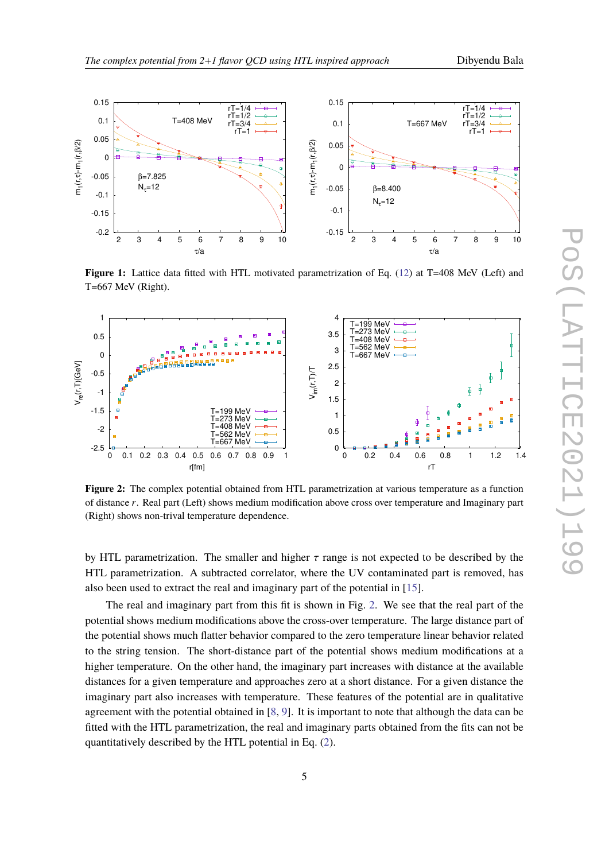

<span id="page-4-0"></span>

**Figure 1:** Lattice data fitted with HTL motivated parametrization of Eq. [\(12\)](#page-3-2) at T=408 MeV (Left) and T=667 MeV (Right).

<span id="page-4-1"></span>

**Figure 2:** The complex potential obtained from HTL parametrization at various temperature as a function of distance r. Real part (Left) shows medium modification above cross over temperature and Imaginary part (Right) shows non-trival temperature dependence.

by HTL parametrization. The smaller and higher  $\tau$  range is not expected to be described by the HTL parametrization. A subtracted correlator, where the UV contaminated part is removed, has also been used to extract the real and imaginary part of the potential in [\[15\]](#page-8-0).

The real and imaginary part from this fit is shown in Fig. [2.](#page-4-1) We see that the real part of the potential shows medium modifications above the cross-over temperature. The large distance part of the potential shows much flatter behavior compared to the zero temperature linear behavior related to the string tension. The short-distance part of the potential shows medium modifications at a higher temperature. On the other hand, the imaginary part increases with distance at the available distances for a given temperature and approaches zero at a short distance. For a given distance the imaginary part also increases with temperature. These features of the potential are in qualitative agreement with the potential obtained in [\[8,](#page-7-7) [9\]](#page-7-8). It is important to note that although the data can be fitted with the HTL parametrization, the real and imaginary parts obtained from the fits can not be quantitatively described by the HTL potential in Eq. [\(2\)](#page-1-1).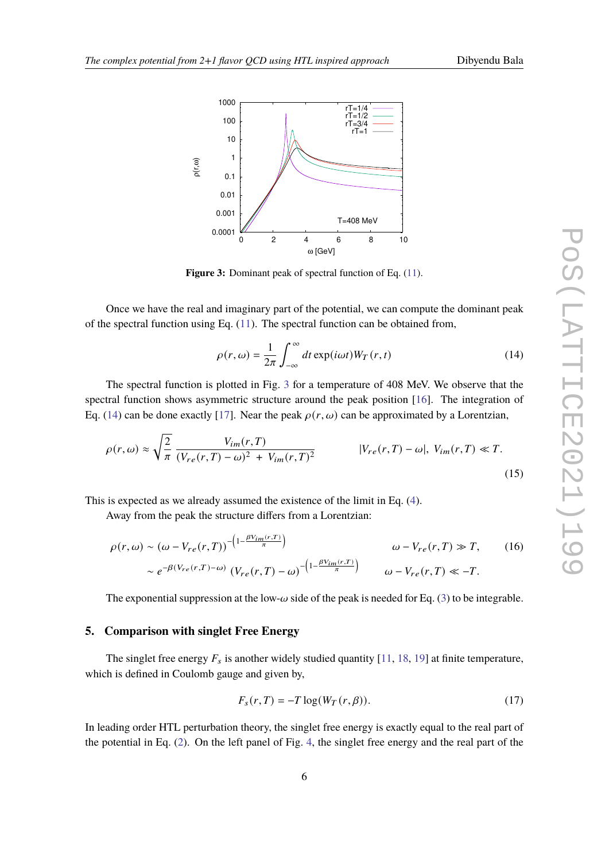<span id="page-5-0"></span>

Figure 3: Dominant peak of spectral function of Eq.  $(11)$ .

Once we have the real and imaginary part of the potential, we can compute the dominant peak of the spectral function using Eq.  $(11)$ . The spectral function can be obtained from,

<span id="page-5-1"></span>
$$
\rho(r,\omega) = \frac{1}{2\pi} \int_{-\infty}^{\infty} dt \exp(i\omega t) W_T(r,t)
$$
\n(14)

The spectral function is plotted in Fig. [3](#page-5-0) for a temperature of 408 MeV. We observe that the spectral function shows asymmetric structure around the peak position [\[16\]](#page-8-3). The integration of Eq. [\(14\)](#page-5-1) can be done exactly [\[17\]](#page-8-4). Near the peak  $\rho(r, \omega)$  can be approximated by a Lorentzian,

$$
\rho(r,\omega) \approx \sqrt{\frac{2}{\pi}} \frac{V_{im}(r,T)}{(V_{re}(r,T)-\omega)^2 + V_{im}(r,T)^2}
$$
 | $V_{re}(r,T) - \omega$ |,  $V_{im}(r,T) \ll T$ . (15)

This is expected as we already assumed the existence of the limit in Eq. [\(4\)](#page-1-2).

Away from the peak the structure differs from a Lorentzian:

$$
\rho(r,\omega) \sim (\omega - V_{re}(r,T))^{-\left(1 - \frac{\beta V_{im}(r,T)}{\pi}\right)} \qquad \omega - V_{re}(r,T) \gg T,
$$
\n
$$
\sim e^{-\beta(V_{re}(r,T) - \omega)} \left(V_{re}(r,T) - \omega\right)^{-\left(1 - \frac{\beta V_{im}(r,T)}{\pi}\right)} \qquad \omega - V_{re}(r,T) \ll -T.
$$
\n(16)

The exponential suppression at the low- $\omega$  side of the peak is needed for Eq. [\(3\)](#page-1-3) to be integrable.

#### **5. Comparison with singlet Free Energy**

The singlet free energy  $F_s$  is another widely studied quantity [\[11,](#page-7-10) [18,](#page-8-5) [19\]](#page-8-6) at finite temperature, which is defined in Coulomb gauge and given by,

$$
F_s(r,T) = -T \log(W_T(r,\beta)).
$$
\n(17)

In leading order HTL perturbation theory, the singlet free energy is exactly equal to the real part of the potential in Eq. [\(2\)](#page-1-1). On the left panel of Fig. [4,](#page-6-0) the singlet free energy and the real part of the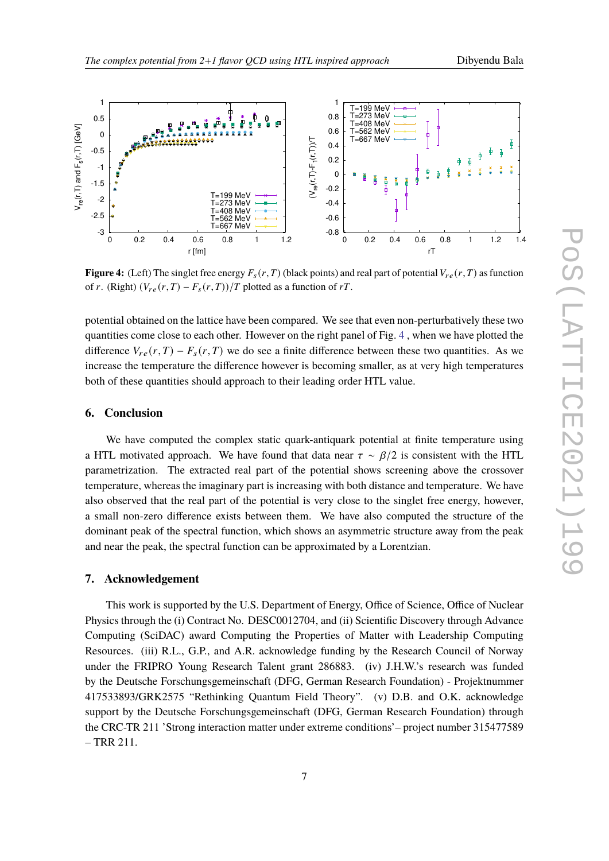<span id="page-6-0"></span>

**Figure 4:** (Left) The singlet free energy  $F_s(r, T)$  (black points) and real part of potential  $V_{re}(r, T)$  as function of r. (Right)  $(V_{re}(r,T) - F_s(r,T))/T$  plotted as a function of rT.

potential obtained on the lattice have been compared. We see that even non-perturbatively these two quantities come close to each other. However on the right panel of Fig. [4](#page-6-0) , when we have plotted the difference  $V_{re}(r,T) - F_s(r,T)$  we do see a finite difference between these two quantities. As we increase the temperature the difference however is becoming smaller, as at very high temperatures both of these quantities should approach to their leading order HTL value.

#### **6. Conclusion**

We have computed the complex static quark-antiquark potential at finite temperature using a HTL motivated approach. We have found that data near  $\tau \sim \beta/2$  is consistent with the HTL parametrization. The extracted real part of the potential shows screening above the crossover temperature, whereas the imaginary part is increasing with both distance and temperature. We have also observed that the real part of the potential is very close to the singlet free energy, however, a small non-zero difference exists between them. We have also computed the structure of the dominant peak of the spectral function, which shows an asymmetric structure away from the peak and near the peak, the spectral function can be approximated by a Lorentzian.

#### **7. Acknowledgement**

This work is supported by the U.S. Department of Energy, Office of Science, Office of Nuclear Physics through the (i) Contract No. DESC0012704, and (ii) Scientific Discovery through Advance Computing (SciDAC) award Computing the Properties of Matter with Leadership Computing Resources. (iii) R.L., G.P., and A.R. acknowledge funding by the Research Council of Norway under the FRIPRO Young Research Talent grant 286883. (iv) J.H.W.'s research was funded by the Deutsche Forschungsgemeinschaft (DFG, German Research Foundation) - Projektnummer 417533893/GRK2575 "Rethinking Quantum Field Theory". (v) D.B. and O.K. acknowledge support by the Deutsche Forschungsgemeinschaft (DFG, German Research Foundation) through the CRC-TR 211 'Strong interaction matter under extreme conditions'– project number 315477589 – TRR 211.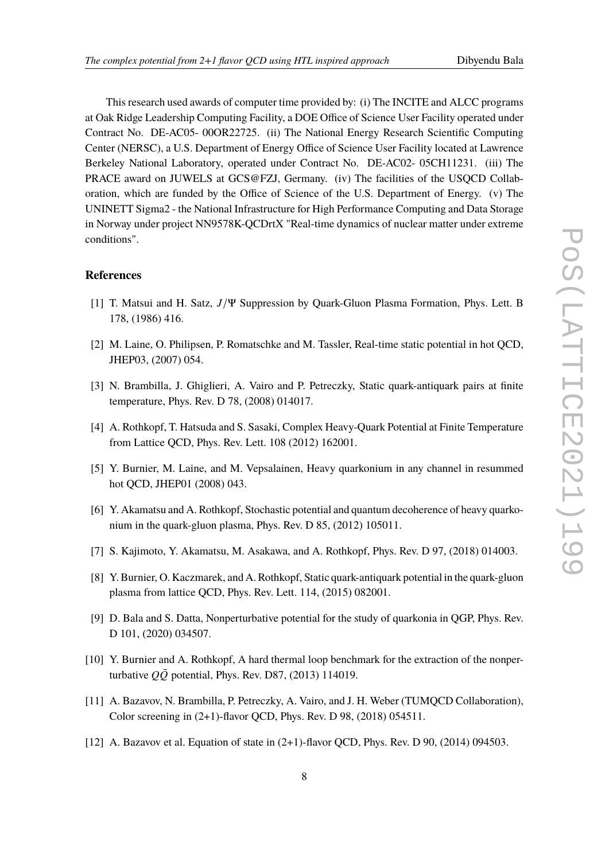This research used awards of computer time provided by: (i) The INCITE and ALCC programs at Oak Ridge Leadership Computing Facility, a DOE Office of Science User Facility operated under Contract No. DE-AC05- 00OR22725. (ii) The National Energy Research Scientific Computing Center (NERSC), a U.S. Department of Energy Office of Science User Facility located at Lawrence Berkeley National Laboratory, operated under Contract No. DE-AC02- 05CH11231. (iii) The PRACE award on JUWELS at GCS@FZJ, Germany. (iv) The facilities of the USQCD Collaboration, which are funded by the Office of Science of the U.S. Department of Energy. (v) The UNINETT Sigma2 - the National Infrastructure for High Performance Computing and Data Storage in Norway under project NN9578K-QCDrtX "Real-time dynamics of nuclear matter under extreme conditions".

#### **References**

- <span id="page-7-0"></span>[1] T. Matsui and H. Satz,  $J/\Psi$  Suppression by Quark-Gluon Plasma Formation, Phys. Lett. B 178, (1986) 416.
- <span id="page-7-1"></span>[2] M. Laine, O. Philipsen, P. Romatschke and M. Tassler, Real-time static potential in hot QCD, JHEP03, (2007) 054.
- <span id="page-7-2"></span>[3] N. Brambilla, J. Ghiglieri, A. Vairo and P. Petreczky, Static quark-antiquark pairs at finite temperature, Phys. Rev. D 78, (2008) 014017.
- <span id="page-7-3"></span>[4] A. Rothkopf, T. Hatsuda and S. Sasaki, Complex Heavy-Quark Potential at Finite Temperature from Lattice QCD, Phys. Rev. Lett. 108 (2012) 162001.
- <span id="page-7-4"></span>[5] Y. Burnier, M. Laine, and M. Vepsalainen, Heavy quarkonium in any channel in resummed hot QCD, JHEP01 (2008) 043.
- <span id="page-7-5"></span>[6] Y. Akamatsu and A. Rothkopf, Stochastic potential and quantum decoherence of heavy quarkonium in the quark-gluon plasma, Phys. Rev. D 85, (2012) 105011.
- <span id="page-7-6"></span>[7] S. Kajimoto, Y. Akamatsu, M. Asakawa, and A. Rothkopf, Phys. Rev. D 97, (2018) 014003.
- <span id="page-7-7"></span>[8] Y. Burnier, O. Kaczmarek, and A. Rothkopf, Static quark-antiquark potential in the quark-gluon plasma from lattice QCD, Phys. Rev. Lett. 114, (2015) 082001.
- <span id="page-7-8"></span>[9] D. Bala and S. Datta, Nonperturbative potential for the study of quarkonia in QGP, Phys. Rev. D 101, (2020) 034507.
- <span id="page-7-9"></span>[10] Y. Burnier and A. Rothkopf, A hard thermal loop benchmark for the extraction of the nonperturbative  $Q\overline{Q}$  potential, Phys. Rev. D87, (2013) 114019.
- <span id="page-7-10"></span>[11] A. Bazavov, N. Brambilla, P. Petreczky, A. Vairo, and J. H. Weber (TUMQCD Collaboration), Color screening in (2+1)-flavor QCD, Phys. Rev. D 98, (2018) 054511.
- <span id="page-7-11"></span>[12] A. Bazavov et al. Equation of state in (2+1)-flavor QCD, Phys. Rev. D 90, (2014) 094503.